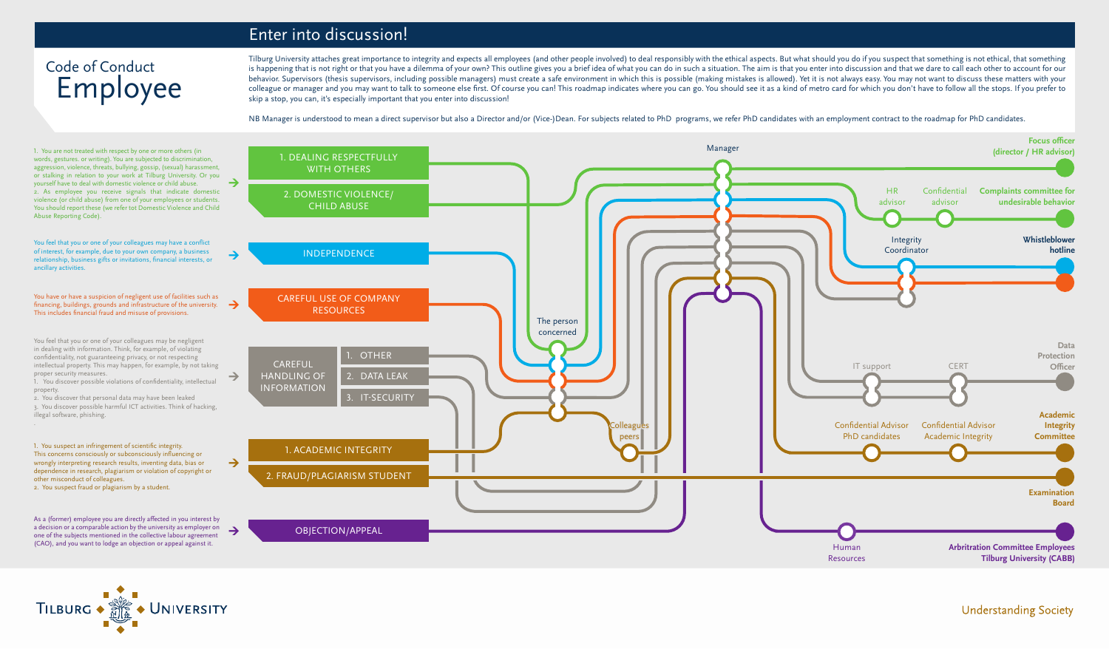Tilburg University attaches great importance to integrity and expects all employees (and other people involved) to deal responsibly with the ethical aspects. But what should you do if you suspect that something is not ethi is happening that is not right or that you have a dilemma of your own? This outline gives you a brief idea of what you can do in such a situation. The aim is that you enter into discussion and that we dare to call each oth behavior. Supervisors (thesis supervisors, including possible managers) must create a safe environment in which this is possible (making mistakes is allowed). Yet it is not always easy. You may not want to discuss these ma colleague or manager and you may want to talk to someone else first. Of course you can! This roadmap indicates where you can go. You should see it as a kind of metro card for which you don't have to follow all the stops. I skip a stop, you can, it's especially important that you enter into discussion!

NB Manager is understood to mean a direct supervisor but also a Director and/or (Vice-)Dean. For subjects related to PhD programs, we refer PhD candidates with an employment contract to the roadmap for PhD candidates.

## Employee Code of Conduct

### Enter into discussion!

You feel that you or one of your colleagues may have a conflict of interest, for example, due to your own company, a business relationship, business gifts or invitations, financial interests, or ancillary activities.

You have or have a suspicion of negligent use of facilities such as financing, buildings, grounds and infrastructure of the university.  $\rightarrow$ This includes financial fraud and misuse of provisions.

You feel that you or one of your colleagues may be negligent in dealing with information. Think, for example, of violating confidentiality, not guaranteeing privacy, or not respecting intellectual property. This may happen, for example, by not taking proper security measures.

1. You discover possible violations of confidentiality, intellectual property.

2. You discover that personal data may have been leaked 3. You discover possible harmful ICT activities. Think of hacking,

illegal software, phishing. .

1. You suspect an infringement of scientific integrity. This concerns consciously or subconsciously influencing or wrongly interpreting research results, inventing data, bias or dependence in research, plagiarism or violation of copyright or other misconduct of colleagues.

2. You suspect fraud or plagiarism by a student.

1. You are not treated with respect by one or more others (in words, gestures. or writing). You are subjected to discrimination, aggression, violence, threats, bullying, gossip, (sexual) harassment, or stalking in relation to your work at Tilburg University. Or you yourself have to deal with domestic violence or child abuse. 2. As employee you receive signals that indicate domestic violence (or child abuse) from one of your employees or students. You should report these (we refer tot Domestic Violence and Child Abuse Reporting Code).

As a (former) employee you are directly affected in you interest by a decision or a comparable action by the university as employer on one of the subjects mentioned in the collective labour agreement (CAO), and you want to lodge an objection or appeal against it.







**Understanding Society**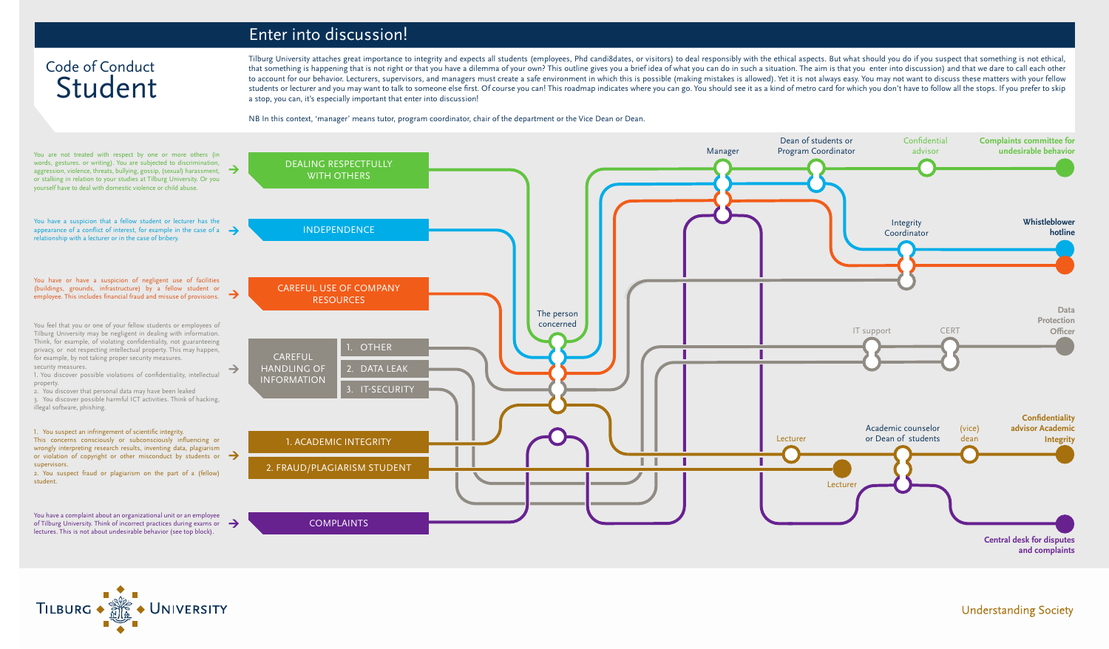## Student Code of Conduct





**Understanding Society** 

#### Enter into discussion!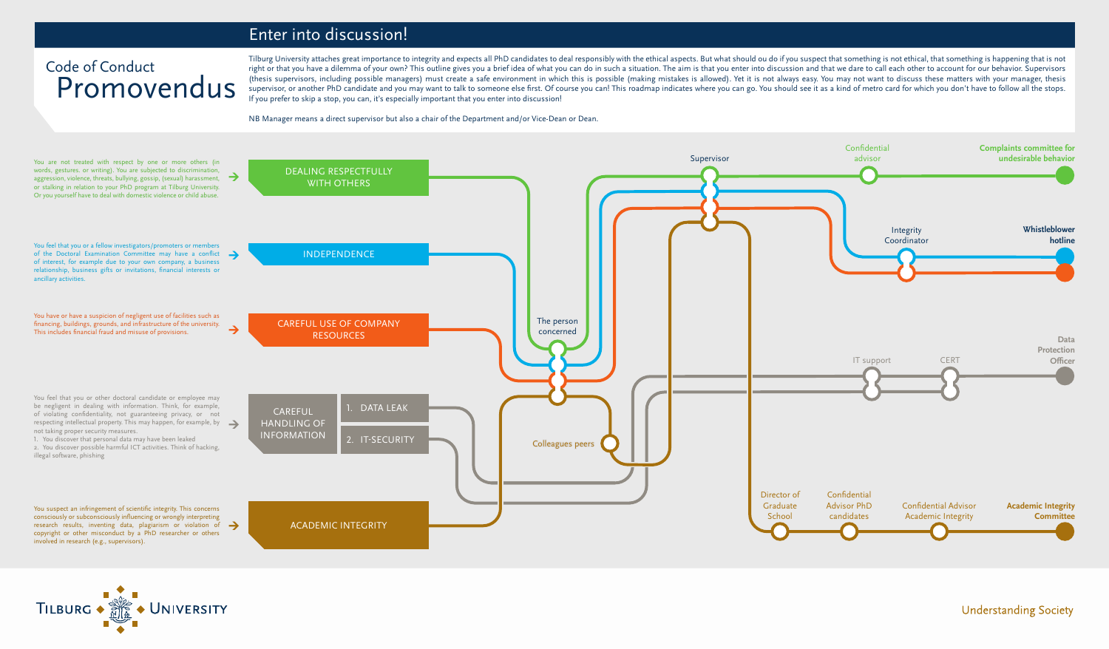Tilburg University attaches great importance to integrity and expects all PhD candidates to deal responsibly with the ethical aspects. But what should ou do if you suspect that something is not ethical, that something is h right or that you have a dilemma of your own? This outline gives you a brief idea of what you can do in such a situation. The aim is that you enter into discussion and that we dare to call each other to account for our beh (thesis supervisors, including possible managers) must create a safe environment in which this is possible (making mistakes is allowed). Yet it is not always easy. You may not want to discuss these matters with your manage supervisor, or another PhD candidate and you may want to talk to someone else first. Of course you can! This roadmap indicates where you can go. You should see it as a kind of metro card for which you don't have to follow If you prefer to skip a stop, you can, it's especially important that you enter into discussion!

NB Manager means a direct supervisor but also a chair of the Department and/or Vice-Dean or Dean.

## Promovendus Code of Conduct





#### **Understanding Society**

#### Enter into discussion!